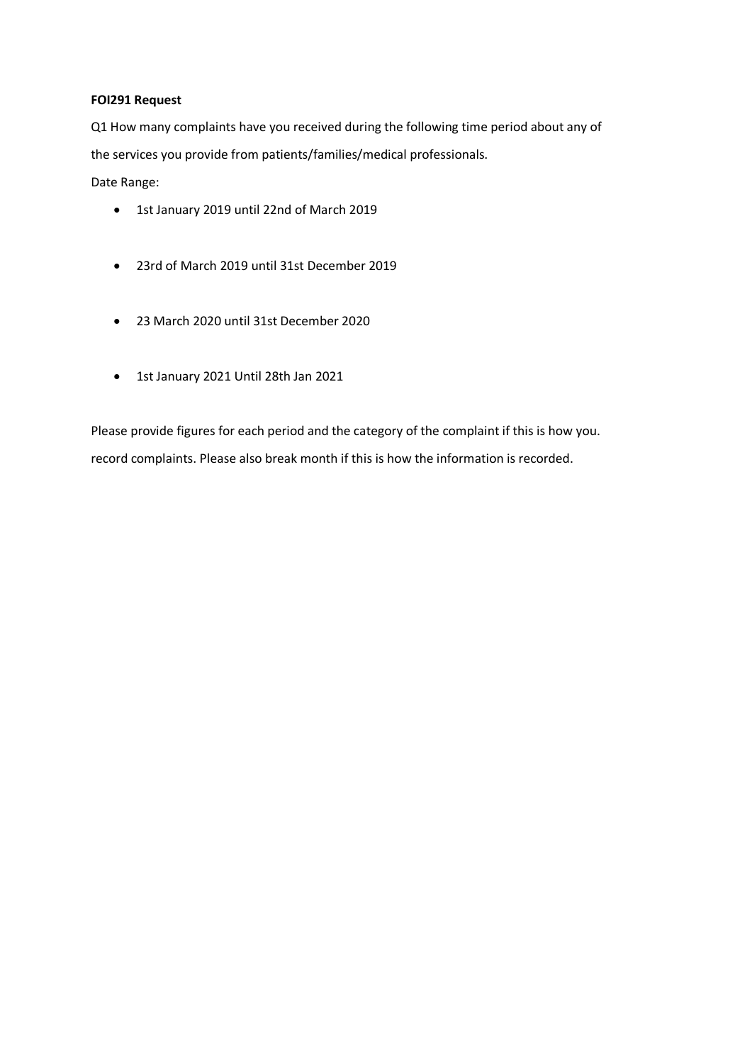## **FOI291 Request**

Q1 How many complaints have you received during the following time period about any of the services you provide from patients/families/medical professionals.

Date Range:

- 1st January 2019 until 22nd of March 2019
- 23rd of March 2019 until 31st December 2019
- 23 March 2020 until 31st December 2020
- 1st January 2021 Until 28th Jan 2021

Please provide figures for each period and the category of the complaint if this is how you. record complaints. Please also break month if this is how the information is recorded.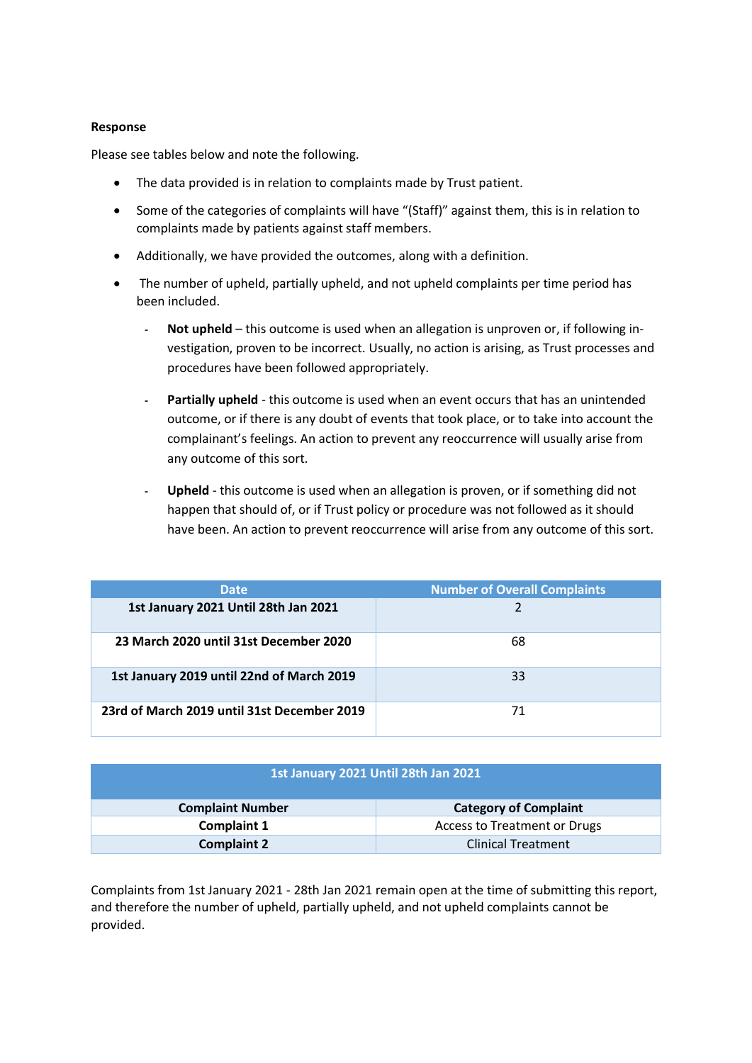## **Response**

Please see tables below and note the following.

- The data provided is in relation to complaints made by Trust patient.
- Some of the categories of complaints will have "(Staff)" against them, this is in relation to complaints made by patients against staff members.
- Additionally, we have provided the outcomes, along with a definition.
- The number of upheld, partially upheld, and not upheld complaints per time period has been included.
	- **- Not upheld**  this outcome is used when an allegation is unproven or, if following investigation, proven to be incorrect. Usually, no action is arising, as Trust processes and procedures have been followed appropriately.
	- **- Partially upheld**  this outcome is used when an event occurs that has an unintended outcome, or if there is any doubt of events that took place, or to take into account the complainant's feelings. An action to prevent any reoccurrence will usually arise from any outcome of this sort.
	- **- Upheld** this outcome is used when an allegation is proven, or if something did not happen that should of, or if Trust policy or procedure was not followed as it should have been. An action to prevent reoccurrence will arise from any outcome of this sort.

| <b>Date</b>                                 | <b>Number of Overall Complaints</b> |
|---------------------------------------------|-------------------------------------|
| 1st January 2021 Until 28th Jan 2021        |                                     |
| 23 March 2020 until 31st December 2020      | 68                                  |
| 1st January 2019 until 22nd of March 2019   | 33                                  |
| 23rd of March 2019 until 31st December 2019 | 71                                  |

| 1st January 2021 Until 28th Jan 2021 |                              |
|--------------------------------------|------------------------------|
| <b>Complaint Number</b>              | <b>Category of Complaint</b> |
| <b>Complaint 1</b>                   | Access to Treatment or Drugs |
| <b>Complaint 2</b>                   | <b>Clinical Treatment</b>    |

Complaints from 1st January 2021 - 28th Jan 2021 remain open at the time of submitting this report, and therefore the number of upheld, partially upheld, and not upheld complaints cannot be provided.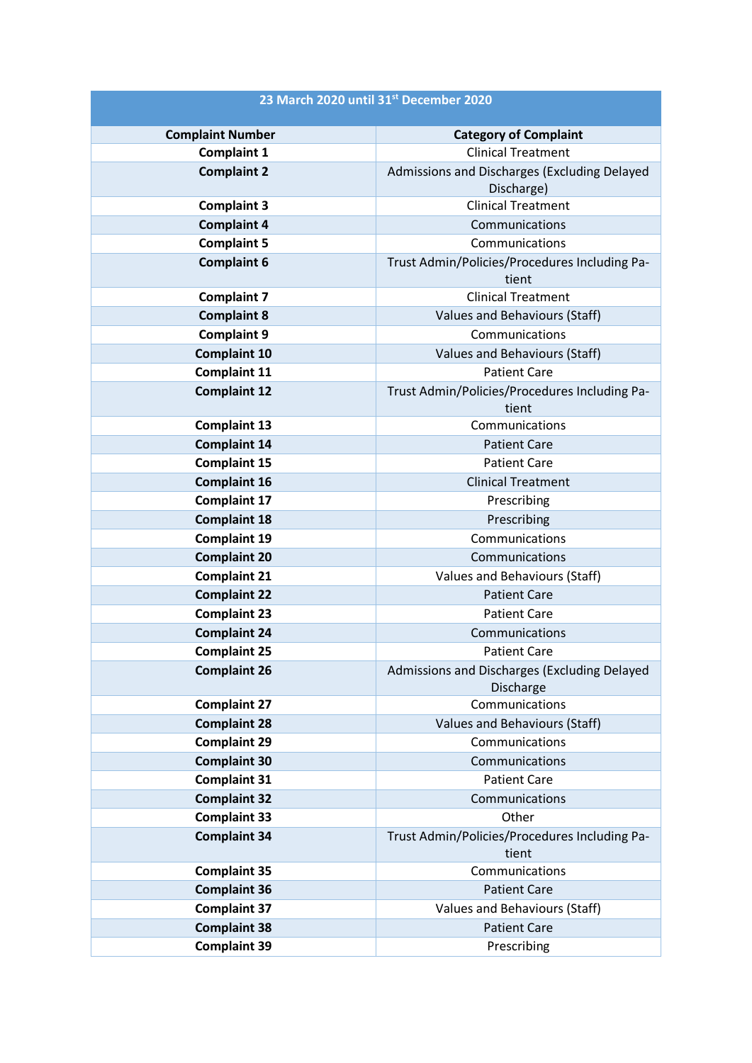| 23 March 2020 until 31st December 2020 |                                                            |
|----------------------------------------|------------------------------------------------------------|
| <b>Complaint Number</b>                | <b>Category of Complaint</b>                               |
| <b>Complaint 1</b>                     | <b>Clinical Treatment</b>                                  |
| <b>Complaint 2</b>                     | Admissions and Discharges (Excluding Delayed<br>Discharge) |
| <b>Complaint 3</b>                     | <b>Clinical Treatment</b>                                  |
| <b>Complaint 4</b>                     | Communications                                             |
| <b>Complaint 5</b>                     | Communications                                             |
| <b>Complaint 6</b>                     | Trust Admin/Policies/Procedures Including Pa-<br>tient     |
| <b>Complaint 7</b>                     | <b>Clinical Treatment</b>                                  |
| <b>Complaint 8</b>                     | Values and Behaviours (Staff)                              |
| <b>Complaint 9</b>                     | Communications                                             |
| <b>Complaint 10</b>                    | Values and Behaviours (Staff)                              |
| <b>Complaint 11</b>                    | <b>Patient Care</b>                                        |
| <b>Complaint 12</b>                    | Trust Admin/Policies/Procedures Including Pa-<br>tient     |
| <b>Complaint 13</b>                    | Communications                                             |
| <b>Complaint 14</b>                    | <b>Patient Care</b>                                        |
| <b>Complaint 15</b>                    | <b>Patient Care</b>                                        |
| <b>Complaint 16</b>                    | <b>Clinical Treatment</b>                                  |
| <b>Complaint 17</b>                    | Prescribing                                                |
| <b>Complaint 18</b>                    | Prescribing                                                |
| <b>Complaint 19</b>                    | Communications                                             |
| <b>Complaint 20</b>                    | Communications                                             |
| <b>Complaint 21</b>                    | Values and Behaviours (Staff)                              |
| <b>Complaint 22</b>                    | <b>Patient Care</b>                                        |
| <b>Complaint 23</b>                    | <b>Patient Care</b>                                        |
| <b>Complaint 24</b>                    | Communications                                             |
| <b>Complaint 25</b>                    | <b>Patient Care</b>                                        |
| <b>Complaint 26</b>                    | Admissions and Discharges (Excluding Delayed<br>Discharge  |
| <b>Complaint 27</b>                    | Communications                                             |
| <b>Complaint 28</b>                    | Values and Behaviours (Staff)                              |
| <b>Complaint 29</b>                    | Communications                                             |
| <b>Complaint 30</b>                    | Communications                                             |
| <b>Complaint 31</b>                    | <b>Patient Care</b>                                        |
| <b>Complaint 32</b>                    | Communications                                             |
| <b>Complaint 33</b>                    | Other                                                      |
| <b>Complaint 34</b>                    | Trust Admin/Policies/Procedures Including Pa-<br>tient     |
| <b>Complaint 35</b>                    | Communications                                             |
| <b>Complaint 36</b>                    | <b>Patient Care</b>                                        |
| <b>Complaint 37</b>                    | Values and Behaviours (Staff)                              |
| <b>Complaint 38</b>                    | <b>Patient Care</b>                                        |
| <b>Complaint 39</b>                    | Prescribing                                                |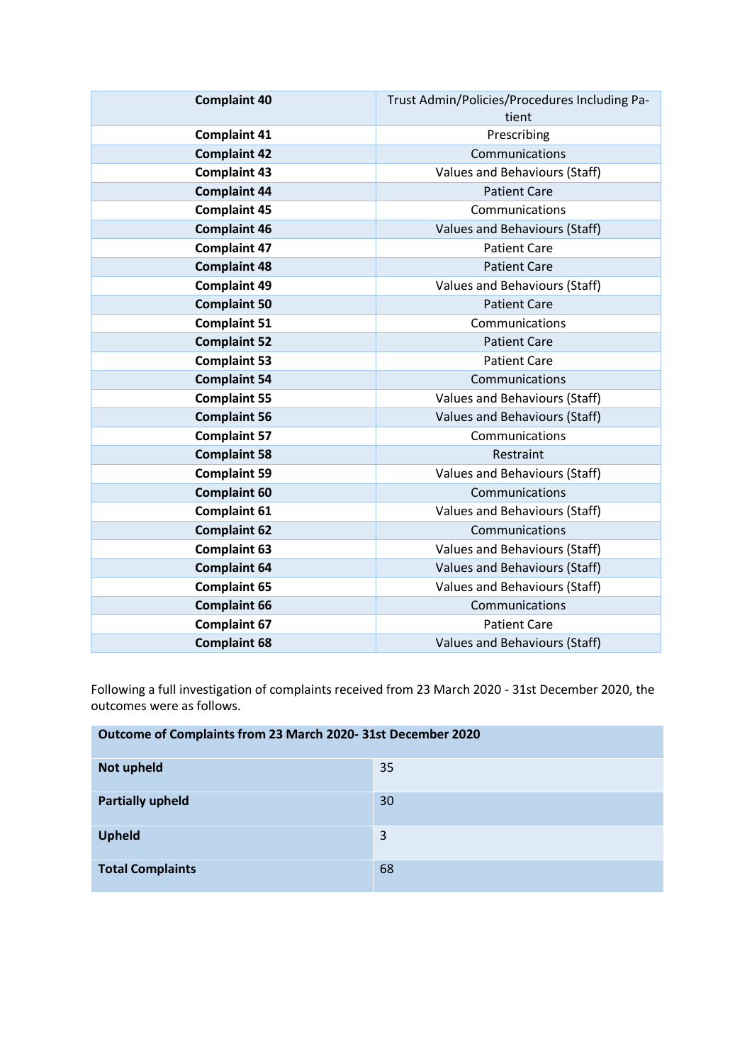| <b>Complaint 40</b> | Trust Admin/Policies/Procedures Including Pa-<br>tient |
|---------------------|--------------------------------------------------------|
| <b>Complaint 41</b> | Prescribing                                            |
| <b>Complaint 42</b> | Communications                                         |
| <b>Complaint 43</b> | Values and Behaviours (Staff)                          |
| <b>Complaint 44</b> | <b>Patient Care</b>                                    |
| <b>Complaint 45</b> | Communications                                         |
| <b>Complaint 46</b> | Values and Behaviours (Staff)                          |
| <b>Complaint 47</b> | <b>Patient Care</b>                                    |
| <b>Complaint 48</b> | <b>Patient Care</b>                                    |
| <b>Complaint 49</b> | Values and Behaviours (Staff)                          |
| <b>Complaint 50</b> | <b>Patient Care</b>                                    |
| <b>Complaint 51</b> | Communications                                         |
| <b>Complaint 52</b> | <b>Patient Care</b>                                    |
| <b>Complaint 53</b> | <b>Patient Care</b>                                    |
| <b>Complaint 54</b> | Communications                                         |
| <b>Complaint 55</b> | Values and Behaviours (Staff)                          |
| <b>Complaint 56</b> | Values and Behaviours (Staff)                          |
| <b>Complaint 57</b> | Communications                                         |
| <b>Complaint 58</b> | Restraint                                              |
| <b>Complaint 59</b> | Values and Behaviours (Staff)                          |
| <b>Complaint 60</b> | Communications                                         |
| Complaint 61        | Values and Behaviours (Staff)                          |
| <b>Complaint 62</b> | Communications                                         |
| <b>Complaint 63</b> | Values and Behaviours (Staff)                          |
| <b>Complaint 64</b> | Values and Behaviours (Staff)                          |
| <b>Complaint 65</b> | Values and Behaviours (Staff)                          |
| <b>Complaint 66</b> | Communications                                         |
| <b>Complaint 67</b> | <b>Patient Care</b>                                    |
| <b>Complaint 68</b> | Values and Behaviours (Staff)                          |

Following a full investigation of complaints received from 23 March 2020 - 31st December 2020, the outcomes were as follows.

| Outcome of Complaints from 23 March 2020-31st December 2020 |    |
|-------------------------------------------------------------|----|
| Not upheld                                                  | 35 |
| <b>Partially upheld</b>                                     | 30 |
| <b>Upheld</b>                                               | 3  |
| <b>Total Complaints</b>                                     | 68 |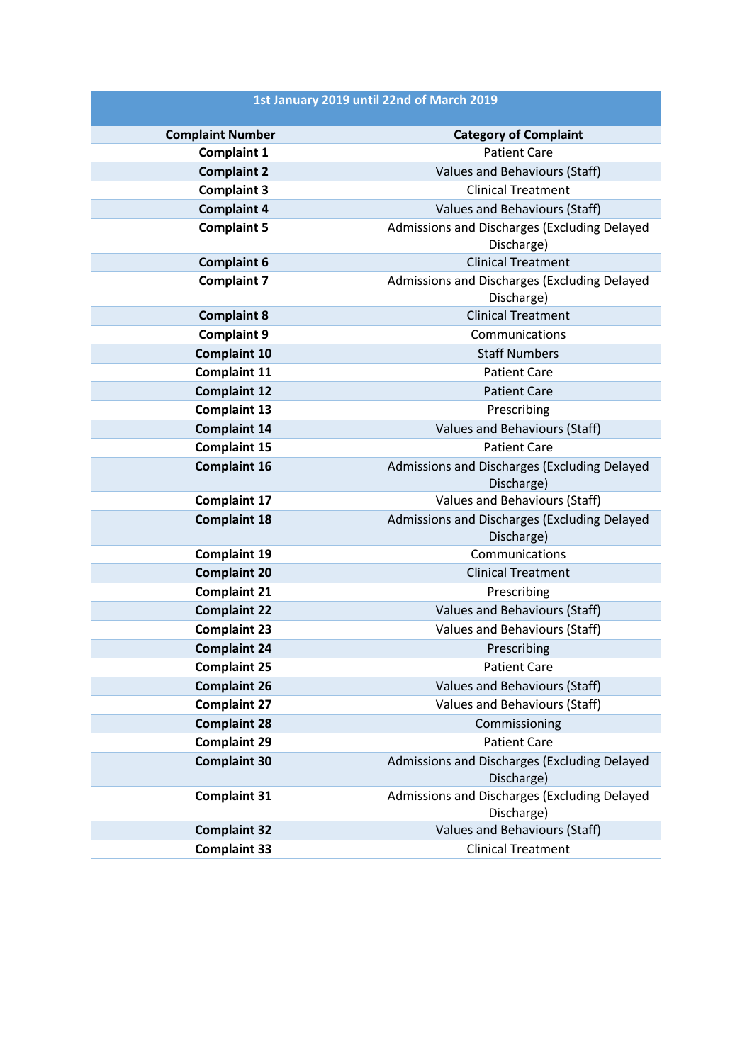| 1st January 2019 until 22nd of March 2019 |                                                            |
|-------------------------------------------|------------------------------------------------------------|
| <b>Complaint Number</b>                   | <b>Category of Complaint</b>                               |
| <b>Complaint 1</b>                        | <b>Patient Care</b>                                        |
| <b>Complaint 2</b>                        | <b>Values and Behaviours (Staff)</b>                       |
| <b>Complaint 3</b>                        | <b>Clinical Treatment</b>                                  |
| <b>Complaint 4</b>                        | Values and Behaviours (Staff)                              |
| <b>Complaint 5</b>                        | Admissions and Discharges (Excluding Delayed<br>Discharge) |
| <b>Complaint 6</b>                        | <b>Clinical Treatment</b>                                  |
| <b>Complaint 7</b>                        | Admissions and Discharges (Excluding Delayed<br>Discharge) |
| <b>Complaint 8</b>                        | <b>Clinical Treatment</b>                                  |
| <b>Complaint 9</b>                        | Communications                                             |
| <b>Complaint 10</b>                       | <b>Staff Numbers</b>                                       |
| <b>Complaint 11</b>                       | <b>Patient Care</b>                                        |
| <b>Complaint 12</b>                       | <b>Patient Care</b>                                        |
| <b>Complaint 13</b>                       | Prescribing                                                |
| <b>Complaint 14</b>                       | <b>Values and Behaviours (Staff)</b>                       |
| <b>Complaint 15</b>                       | <b>Patient Care</b>                                        |
| <b>Complaint 16</b>                       | Admissions and Discharges (Excluding Delayed<br>Discharge) |
| <b>Complaint 17</b>                       | Values and Behaviours (Staff)                              |
| <b>Complaint 18</b>                       | Admissions and Discharges (Excluding Delayed<br>Discharge) |
| <b>Complaint 19</b>                       | Communications                                             |
| <b>Complaint 20</b>                       | <b>Clinical Treatment</b>                                  |
| <b>Complaint 21</b>                       | Prescribing                                                |
| <b>Complaint 22</b>                       | Values and Behaviours (Staff)                              |
| <b>Complaint 23</b>                       | Values and Behaviours (Staff)                              |
| <b>Complaint 24</b>                       | Prescribing                                                |
| <b>Complaint 25</b>                       | <b>Patient Care</b>                                        |
| <b>Complaint 26</b>                       | Values and Behaviours (Staff)                              |
| <b>Complaint 27</b>                       | Values and Behaviours (Staff)                              |
| <b>Complaint 28</b>                       | Commissioning                                              |
| <b>Complaint 29</b>                       | <b>Patient Care</b>                                        |
| <b>Complaint 30</b>                       | Admissions and Discharges (Excluding Delayed<br>Discharge) |
| <b>Complaint 31</b>                       | Admissions and Discharges (Excluding Delayed<br>Discharge) |
| <b>Complaint 32</b>                       | Values and Behaviours (Staff)                              |
| <b>Complaint 33</b>                       | <b>Clinical Treatment</b>                                  |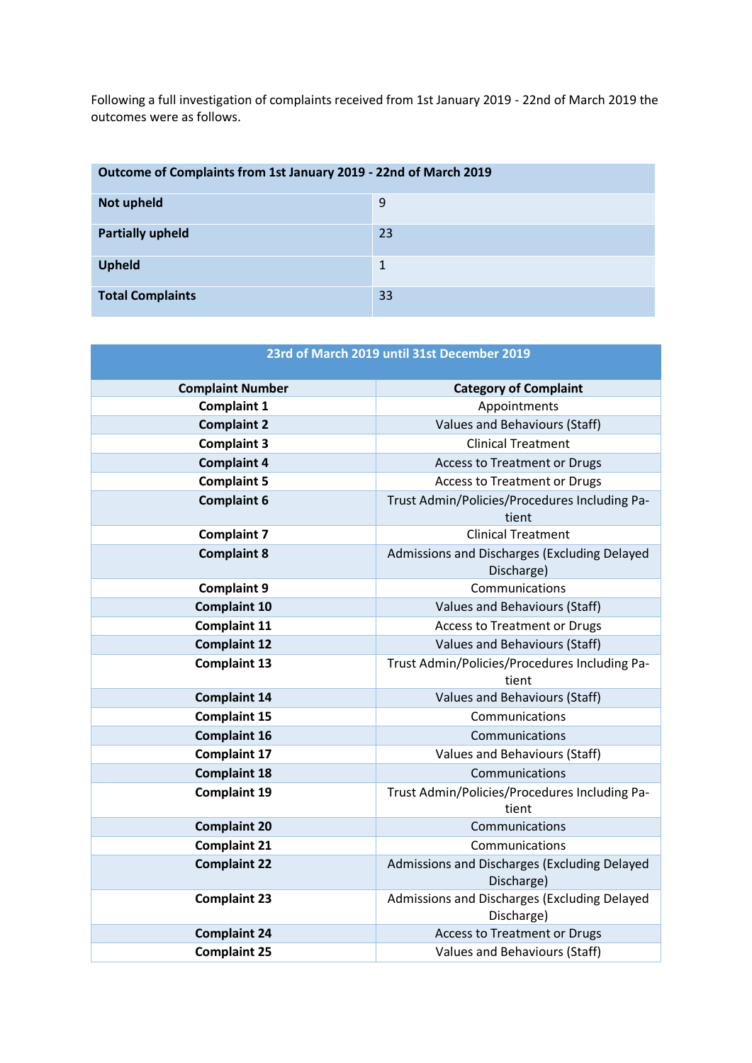Following a full investigation of complaints received from 1st January 2019 - 22nd of March 2019 the outcomes were as follows.

| Outcome of Complaints from 1st January 2019 - 22nd of March 2019 |              |
|------------------------------------------------------------------|--------------|
| Not upheld                                                       | 9            |
| <b>Partially upheld</b>                                          | 23           |
| <b>Upheld</b>                                                    | $\mathbf{1}$ |
| <b>Total Complaints</b>                                          | 33           |

| 23rd of March 2019 until 31st December 2019 |                                                            |
|---------------------------------------------|------------------------------------------------------------|
| <b>Complaint Number</b>                     | <b>Category of Complaint</b>                               |
| <b>Complaint 1</b>                          | Appointments                                               |
| <b>Complaint 2</b>                          | <b>Values and Behaviours (Staff)</b>                       |
| <b>Complaint 3</b>                          | <b>Clinical Treatment</b>                                  |
| <b>Complaint 4</b>                          | <b>Access to Treatment or Drugs</b>                        |
| <b>Complaint 5</b>                          | <b>Access to Treatment or Drugs</b>                        |
| <b>Complaint 6</b>                          | Trust Admin/Policies/Procedures Including Pa-<br>tient     |
| <b>Complaint 7</b>                          | <b>Clinical Treatment</b>                                  |
| <b>Complaint 8</b>                          | Admissions and Discharges (Excluding Delayed<br>Discharge) |
| <b>Complaint 9</b>                          | Communications                                             |
| <b>Complaint 10</b>                         | Values and Behaviours (Staff)                              |
| <b>Complaint 11</b>                         | <b>Access to Treatment or Drugs</b>                        |
| <b>Complaint 12</b>                         | <b>Values and Behaviours (Staff)</b>                       |
| <b>Complaint 13</b>                         | Trust Admin/Policies/Procedures Including Pa-<br>tient     |
| <b>Complaint 14</b>                         | Values and Behaviours (Staff)                              |
| <b>Complaint 15</b>                         | Communications                                             |
| <b>Complaint 16</b>                         | Communications                                             |
| <b>Complaint 17</b>                         | Values and Behaviours (Staff)                              |
| <b>Complaint 18</b>                         | Communications                                             |
| <b>Complaint 19</b>                         | Trust Admin/Policies/Procedures Including Pa-<br>tient     |
| <b>Complaint 20</b>                         | Communications                                             |
| <b>Complaint 21</b>                         | Communications                                             |
| <b>Complaint 22</b>                         | Admissions and Discharges (Excluding Delayed<br>Discharge) |
| <b>Complaint 23</b>                         | Admissions and Discharges (Excluding Delayed<br>Discharge) |
| <b>Complaint 24</b>                         | <b>Access to Treatment or Drugs</b>                        |
| <b>Complaint 25</b>                         | Values and Behaviours (Staff)                              |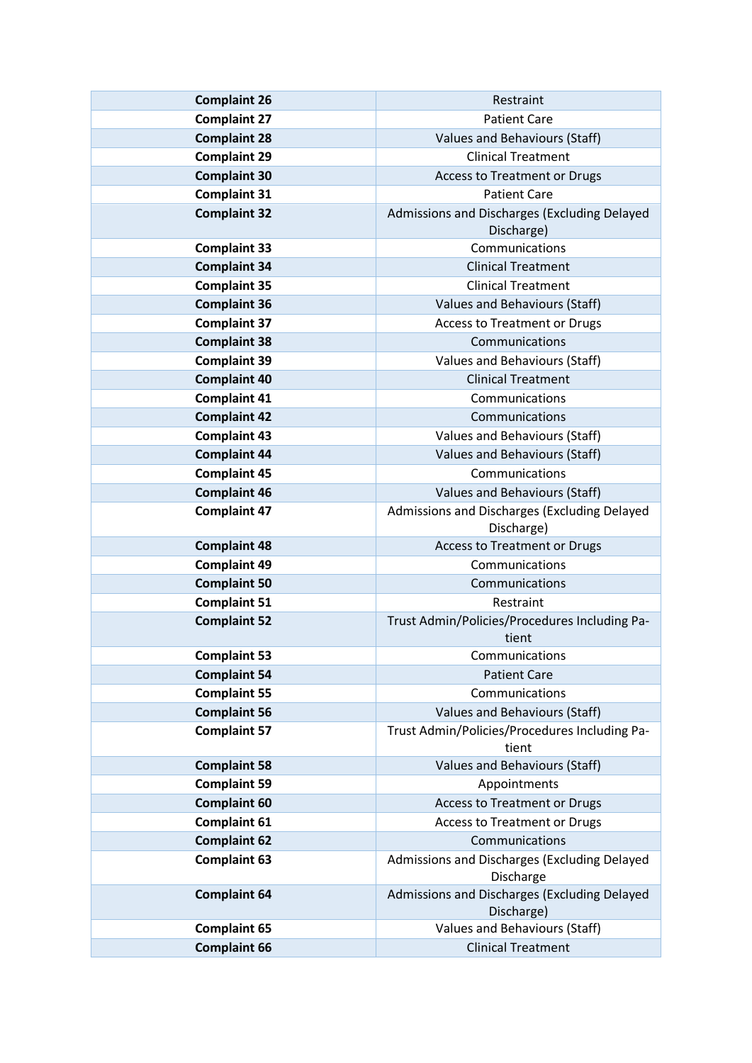| <b>Complaint 26</b> | Restraint                                                  |
|---------------------|------------------------------------------------------------|
| <b>Complaint 27</b> | <b>Patient Care</b>                                        |
| <b>Complaint 28</b> | Values and Behaviours (Staff)                              |
| <b>Complaint 29</b> | <b>Clinical Treatment</b>                                  |
| <b>Complaint 30</b> | <b>Access to Treatment or Drugs</b>                        |
| <b>Complaint 31</b> | <b>Patient Care</b>                                        |
| <b>Complaint 32</b> | Admissions and Discharges (Excluding Delayed<br>Discharge) |
| <b>Complaint 33</b> | Communications                                             |
| <b>Complaint 34</b> | <b>Clinical Treatment</b>                                  |
| <b>Complaint 35</b> | <b>Clinical Treatment</b>                                  |
| <b>Complaint 36</b> | Values and Behaviours (Staff)                              |
| <b>Complaint 37</b> | <b>Access to Treatment or Drugs</b>                        |
| <b>Complaint 38</b> | Communications                                             |
| <b>Complaint 39</b> | Values and Behaviours (Staff)                              |
| <b>Complaint 40</b> | <b>Clinical Treatment</b>                                  |
| <b>Complaint 41</b> | Communications                                             |
| <b>Complaint 42</b> | Communications                                             |
| <b>Complaint 43</b> | Values and Behaviours (Staff)                              |
| <b>Complaint 44</b> | Values and Behaviours (Staff)                              |
| <b>Complaint 45</b> | Communications                                             |
| <b>Complaint 46</b> | Values and Behaviours (Staff)                              |
| <b>Complaint 47</b> | Admissions and Discharges (Excluding Delayed<br>Discharge) |
| <b>Complaint 48</b> | <b>Access to Treatment or Drugs</b>                        |
| <b>Complaint 49</b> | Communications                                             |
| <b>Complaint 50</b> | Communications                                             |
| <b>Complaint 51</b> | Restraint                                                  |
| <b>Complaint 52</b> | Trust Admin/Policies/Procedures Including Pa-<br>tient     |
| <b>Complaint 53</b> | Communications                                             |
| <b>Complaint 54</b> | <b>Patient Care</b>                                        |
| <b>Complaint 55</b> | Communications                                             |
| <b>Complaint 56</b> | Values and Behaviours (Staff)                              |
| <b>Complaint 57</b> | Trust Admin/Policies/Procedures Including Pa-<br>tient     |
| <b>Complaint 58</b> | Values and Behaviours (Staff)                              |
| <b>Complaint 59</b> | Appointments                                               |
| <b>Complaint 60</b> | <b>Access to Treatment or Drugs</b>                        |
| <b>Complaint 61</b> | <b>Access to Treatment or Drugs</b>                        |
| <b>Complaint 62</b> | Communications                                             |
| <b>Complaint 63</b> | Admissions and Discharges (Excluding Delayed<br>Discharge  |
| <b>Complaint 64</b> | Admissions and Discharges (Excluding Delayed<br>Discharge) |
| <b>Complaint 65</b> | Values and Behaviours (Staff)                              |
| <b>Complaint 66</b> | <b>Clinical Treatment</b>                                  |